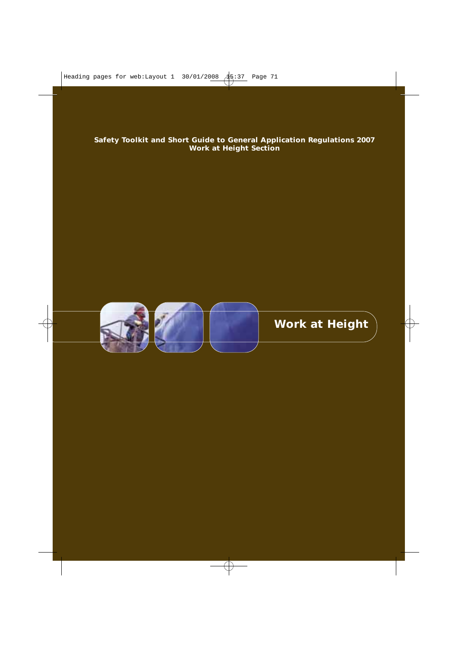#### **Safety Toolkit and Short Guide to General Application Regulations 2007 Work at Height Section**

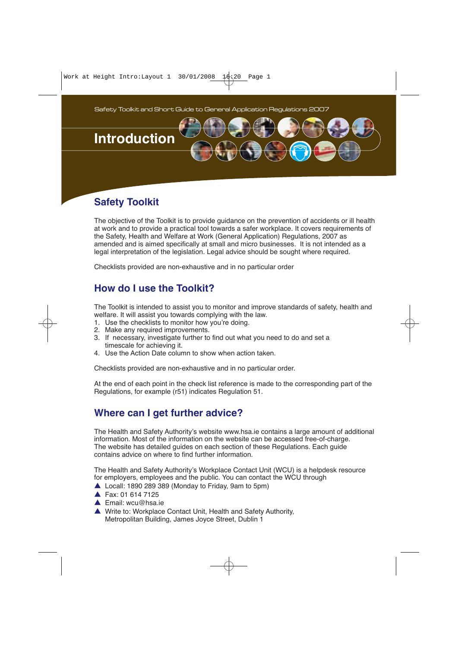Safety Toolkit and Short Guide to General Application Regulations 2007



# **Safety Toolkit**

The objective of the Toolkit is to provide guidance on the prevention of accidents or ill health at work and to provide a practical tool towards a safer workplace. It covers requirements of the Safety, Health and Welfare at Work (General Application) Regulations, 2007 as amended and is aimed specifically at small and micro businesses. It is not intended as a legal interpretation of the legislation. Legal advice should be sought where required.

Checklists provided are non-exhaustive and in no particular order

# **How do I use the Toolkit?**

The Toolkit is intended to assist you to monitor and improve standards of safety, health and welfare. It will assist you towards complying with the law.

- 1. Use the checklists to monitor how you're doing.
- 2. Make any required improvements.
- 3. If necessary, investigate further to find out what you need to do and set a timescale for achieving it.
- 4. Use the Action Date column to show when action taken.

Checklists provided are non-exhaustive and in no particular order.

At the end of each point in the check list reference is made to the corresponding part of the Regulations, for example (r51) indicates Regulation 51.

# **Where can I get further advice?**

The Health and Safety Authority's website www.hsa.ie contains a large amount of additional information. Most of the information on the website can be accessed free-of-charge. The website has detailed guides on each section of these Regulations. Each guide contains advice on where to find further information.

The Health and Safety Authority's Workplace Contact Unit (WCU) is a helpdesk resource for employers, employees and the public. You can contact the WCU through

- $\triangle$  Locall: 1890 289 389 (Monday to Friday, 9am to 5pm)
- ▲ Fax: 01 614 7125
- ▲ Email: wcu@hsa.ie
- ▲ Write to: Workplace Contact Unit, Health and Safety Authority, Metropolitan Building, James Joyce Street, Dublin 1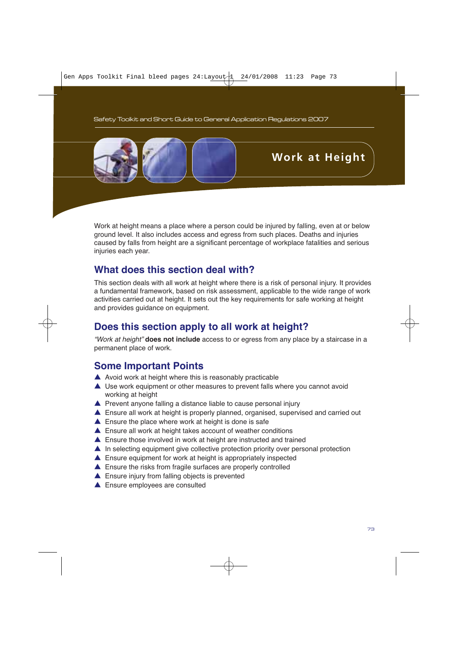

Work at height means a place where a person could be injured by falling, even at or below ground level. It also includes access and egress from such places. Deaths and injuries caused by falls from height are a significant percentage of workplace fatalities and serious injuries each year.

### **What does this section deal with?**

This section deals with all work at height where there is a risk of personal injury. It provides a fundamental framework, based on risk assessment, applicable to the wide range of work activities carried out at height. It sets out the key requirements for safe working at height and provides guidance on equipment.

# **Does this section apply to all work at height?**

"Work at height" **does not include** access to or egress from any place by a staircase in a permanent place of work.

#### **Some Important Points**

- $\triangle$  Avoid work at height where this is reasonably practicable
- ▲ Use work equipment or other measures to prevent falls where you cannot avoid working at height
- $\triangle$  Prevent anyone falling a distance liable to cause personal injury
- ▲ Ensure all work at height is properly planned, organised, supervised and carried out
- $\triangle$  Ensure the place where work at height is done is safe
- ▲ Ensure all work at height takes account of weather conditions
- ▲ Ensure those involved in work at height are instructed and trained
- ▲ In selecting equipment give collective protection priority over personal protection
- ▲ Ensure equipment for work at height is appropriately inspected
- ▲ Ensure the risks from fragile surfaces are properly controlled
- $\triangle$  Ensure injury from falling objects is prevented
- ▲ Ensure employees are consulted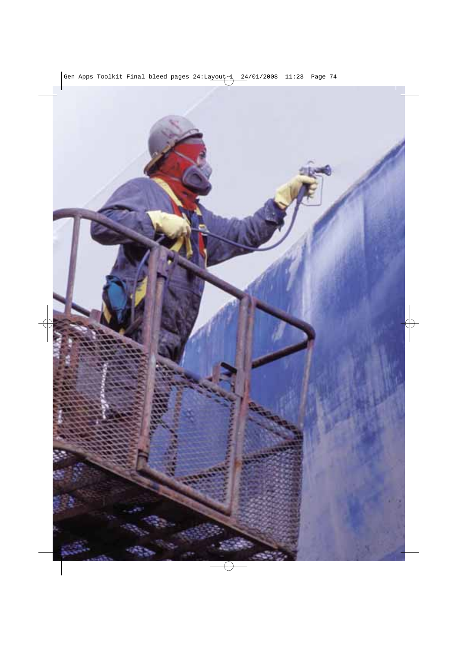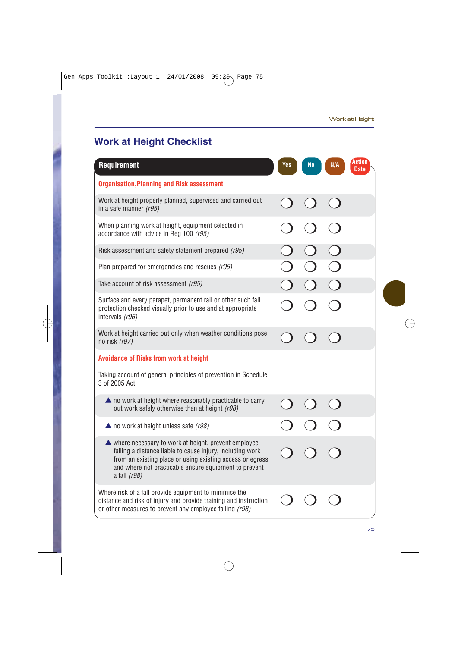# **Work at Height Checklist**

| <b>Requirement</b>                                                                                                                                                                                                                                         | Yes | <b>No</b> | N/A | <b>Action</b><br>Date |
|------------------------------------------------------------------------------------------------------------------------------------------------------------------------------------------------------------------------------------------------------------|-----|-----------|-----|-----------------------|
| <b>Organisation, Planning and Risk assessment</b>                                                                                                                                                                                                          |     |           |     |                       |
| Work at height properly planned, supervised and carried out<br>in a safe manner (r95)                                                                                                                                                                      |     |           |     |                       |
| When planning work at height, equipment selected in<br>accordance with advice in Reg 100 (r95)                                                                                                                                                             |     |           |     |                       |
| Risk assessment and safety statement prepared (r95)                                                                                                                                                                                                        |     |           |     |                       |
| Plan prepared for emergencies and rescues (r95)                                                                                                                                                                                                            |     |           |     |                       |
| Take account of risk assessment (r95)                                                                                                                                                                                                                      |     |           |     |                       |
| Surface and every parapet, permanent rail or other such fall<br>protection checked visually prior to use and at appropriate<br>intervals (r96)                                                                                                             |     |           |     |                       |
| Work at height carried out only when weather conditions pose<br>no risk (r97)                                                                                                                                                                              |     |           |     |                       |
| <b>Avoidance of Risks from work at height</b>                                                                                                                                                                                                              |     |           |     |                       |
| Taking account of general principles of prevention in Schedule<br>3 of 2005 Act                                                                                                                                                                            |     |           |     |                       |
| $\blacktriangle$ no work at height where reasonably practicable to carry<br>out work safely otherwise than at height (r98)                                                                                                                                 |     |           |     |                       |
| $\triangle$ no work at height unless safe (r98)                                                                                                                                                                                                            |     |           |     |                       |
| ▲ where necessary to work at height, prevent employee<br>falling a distance liable to cause injury, including work<br>from an existing place or using existing access or egress<br>and where not practicable ensure equipment to prevent<br>a fall $(198)$ |     |           |     |                       |
| Where risk of a fall provide equipment to minimise the<br>distance and risk of injury and provide training and instruction<br>or other measures to prevent any employee falling (r98)                                                                      |     |           |     |                       |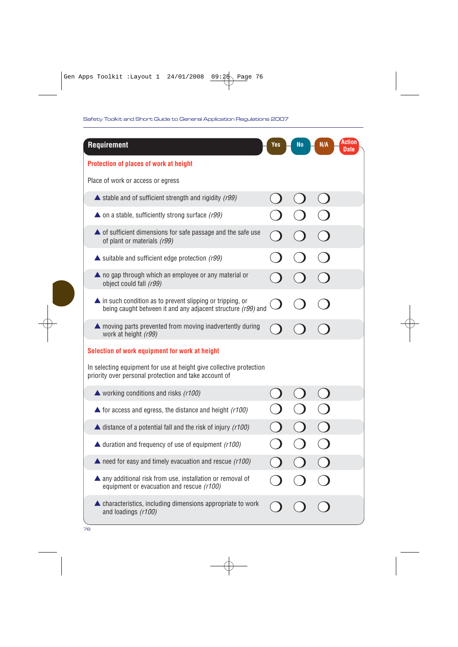| <b>Requirement</b>                                                                                                                        | Yes | <b>No</b> | N/A | Action<br>Date |
|-------------------------------------------------------------------------------------------------------------------------------------------|-----|-----------|-----|----------------|
| Protection of places of work at height                                                                                                    |     |           |     |                |
| Place of work or access or egress                                                                                                         |     |           |     |                |
| $\triangle$ stable and of sufficient strength and rigidity (r99)                                                                          |     |           |     |                |
| $\triangle$ on a stable, sufficiently strong surface (r99)                                                                                |     |           |     |                |
| ▲ of sufficient dimensions for safe passage and the safe use<br>of plant or materials (r99)                                               |     |           |     |                |
| $\triangle$ suitable and sufficient edge protection (r99)                                                                                 |     |           |     |                |
| ▲ no gap through which an employee or any material or<br>object could fall (r99)                                                          |     |           |     |                |
| $\blacktriangle$ in such condition as to prevent slipping or tripping, or<br>being caught between it and any adjacent structure (r99) and |     |           |     |                |
| ▲ moving parts prevented from moving inadvertently during<br>work at height (r99)                                                         |     |           |     |                |
| Selection of work equipment for work at height                                                                                            |     |           |     |                |
| In selecting equipment for use at height give collective protection<br>priority over personal protection and take account of              |     |           |     |                |
| $\triangle$ working conditions and risks (r100)                                                                                           |     |           |     |                |
| $\triangle$ for access and egress, the distance and height (r100)                                                                         |     |           |     |                |
| $\triangle$ distance of a potential fall and the risk of injury (r100)                                                                    |     |           |     |                |
| $\triangle$ duration and frequency of use of equipment (r100)                                                                             |     |           |     |                |
| ▲ need for easy and timely evacuation and rescue (r100)                                                                                   |     |           |     |                |
| ▲ any additional risk from use, installation or removal of<br>equipment or evacuation and rescue (r100)                                   |     |           |     |                |
| $\triangle$ characteristics, including dimensions appropriate to work<br>and loadings (r100)                                              |     |           |     |                |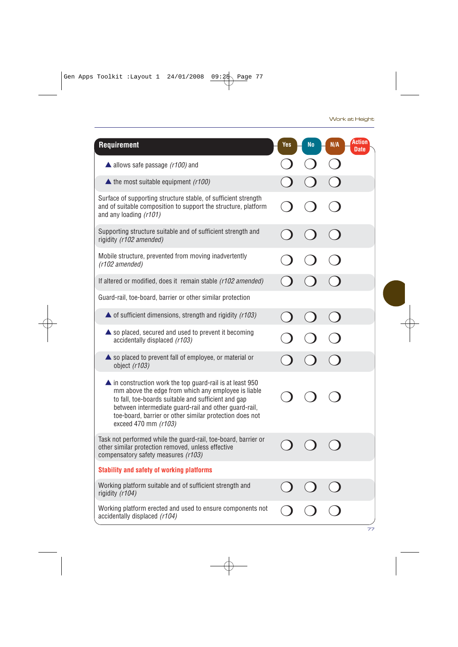| Requirement                                                                                                                                                                                                                                                                                                                   | Yes | N <sub>0</sub> | N/A | <b>Action</b><br><b>Date</b> |
|-------------------------------------------------------------------------------------------------------------------------------------------------------------------------------------------------------------------------------------------------------------------------------------------------------------------------------|-----|----------------|-----|------------------------------|
| $\triangle$ allows safe passage (r100) and                                                                                                                                                                                                                                                                                    |     |                |     |                              |
| $\triangle$ the most suitable equipment (r100)                                                                                                                                                                                                                                                                                |     |                |     |                              |
| Surface of supporting structure stable, of sufficient strength<br>and of suitable composition to support the structure, platform<br>and any loading (r101)                                                                                                                                                                    |     |                |     |                              |
| Supporting structure suitable and of sufficient strength and<br>rigidity (r102 amended)                                                                                                                                                                                                                                       |     |                |     |                              |
| Mobile structure, prevented from moving inadvertently<br>(r102 amended)                                                                                                                                                                                                                                                       |     |                |     |                              |
| If altered or modified, does it remain stable (r102 amended)                                                                                                                                                                                                                                                                  |     |                |     |                              |
| Guard-rail, toe-board, barrier or other similar protection                                                                                                                                                                                                                                                                    |     |                |     |                              |
| $\triangle$ of sufficient dimensions, strength and rigidity (r103)                                                                                                                                                                                                                                                            |     |                |     |                              |
| ▲ so placed, secured and used to prevent it becoming<br>accidentally displaced (r103)                                                                                                                                                                                                                                         |     |                |     |                              |
| ▲ so placed to prevent fall of employee, or material or<br>object (r103)                                                                                                                                                                                                                                                      |     |                |     |                              |
| $\triangle$ in construction work the top guard-rail is at least 950<br>mm above the edge from which any employee is liable<br>to fall, toe-boards suitable and sufficient and gap<br>between intermediate guard-rail and other guard-rail,<br>toe-board, barrier or other similar protection does not<br>exceed 470 mm (r103) |     |                |     |                              |
| Task not performed while the guard-rail, toe-board, barrier or<br>other similar protection removed, unless effective<br>compensatory safety measures (r103)                                                                                                                                                                   |     |                |     |                              |
| <b>Stability and safety of working platforms</b>                                                                                                                                                                                                                                                                              |     |                |     |                              |
| Working platform suitable and of sufficient strength and<br>rigidity (r104)                                                                                                                                                                                                                                                   |     |                |     |                              |
| Working platform erected and used to ensure components not<br>accidentally displaced (r104)                                                                                                                                                                                                                                   |     |                |     |                              |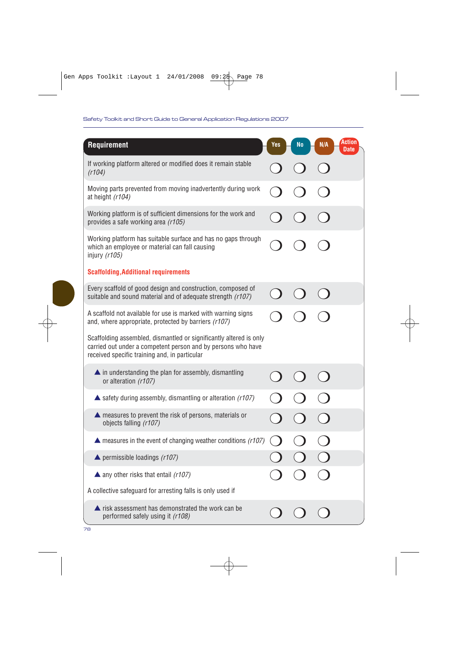| <b>Requirement</b>                                                                                                                                                                  | Yes | No | N/A | <b>Action</b><br>Date |
|-------------------------------------------------------------------------------------------------------------------------------------------------------------------------------------|-----|----|-----|-----------------------|
| If working platform altered or modified does it remain stable<br>(r104)                                                                                                             |     |    |     |                       |
| Moving parts prevented from moving inadvertently during work<br>at height (r104)                                                                                                    |     |    |     |                       |
| Working platform is of sufficient dimensions for the work and<br>provides a safe working area (r105)                                                                                |     |    |     |                       |
| Working platform has suitable surface and has no gaps through<br>which an employee or material can fall causing<br>injury $(r105)$                                                  |     |    |     |                       |
| <b>Scaffolding, Additional requirements</b>                                                                                                                                         |     |    |     |                       |
| Every scaffold of good design and construction, composed of<br>suitable and sound material and of adequate strength (r107)                                                          |     |    |     |                       |
| A scaffold not available for use is marked with warning signs<br>and, where appropriate, protected by barriers (r107)                                                               |     |    |     |                       |
| Scaffolding assembled, dismantled or significantly altered is only<br>carried out under a competent person and by persons who have<br>received specific training and, in particular |     |    |     |                       |
| $\blacktriangle$ in understanding the plan for assembly, dismantling<br>or alteration (r107)                                                                                        |     |    |     |                       |
| $\triangle$ safety during assembly, dismantling or alteration (r107)                                                                                                                |     |    |     |                       |
| ▲ measures to prevent the risk of persons, materials or<br>objects falling (r107)                                                                                                   |     |    |     |                       |
| $\triangle$ measures in the event of changing weather conditions (r107)                                                                                                             |     |    |     |                       |
| $\triangle$ permissible loadings (r107)                                                                                                                                             |     |    |     |                       |
| $\triangle$ any other risks that entail (r107)                                                                                                                                      |     |    |     |                       |
| A collective safeguard for arresting falls is only used if                                                                                                                          |     |    |     |                       |
| $\blacktriangle$ risk assessment has demonstrated the work can be<br>performed safely using it (r108)                                                                               |     |    |     |                       |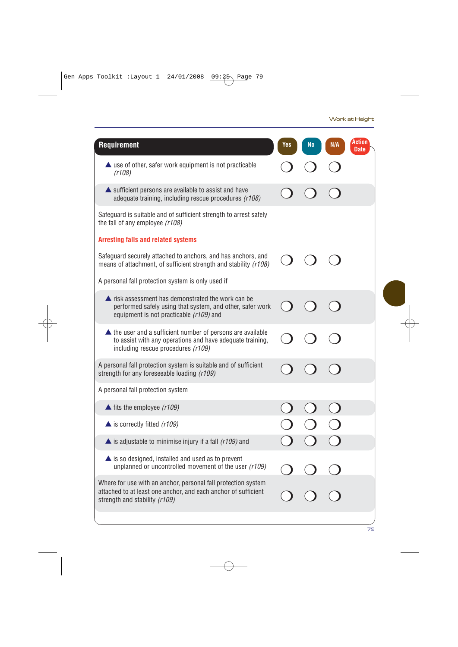| <b>Requirement</b>                                                                                                                                                        | Yes | No | N/A | Action<br>Date |
|---------------------------------------------------------------------------------------------------------------------------------------------------------------------------|-----|----|-----|----------------|
| $\triangle$ use of other, safer work equipment is not practicable<br>(r108)                                                                                               |     |    |     |                |
| ▲ sufficient persons are available to assist and have<br>adequate training, including rescue procedures (r108)                                                            |     |    |     |                |
| Safeguard is suitable and of sufficient strength to arrest safely<br>the fall of any employee (r108)                                                                      |     |    |     |                |
| <b>Arresting falls and related systems</b>                                                                                                                                |     |    |     |                |
| Safeguard securely attached to anchors, and has anchors, and<br>means of attachment, of sufficient strength and stability (r108)                                          |     |    |     |                |
| A personal fall protection system is only used if                                                                                                                         |     |    |     |                |
| $\blacktriangle$ risk assessment has demonstrated the work can be<br>performed safely using that system, and other, safer work<br>equipment is not practicable (r109) and |     |    |     |                |
| $\triangle$ the user and a sufficient number of persons are available<br>to assist with any operations and have adequate training,<br>including rescue procedures (r109)  |     |    |     |                |
| A personal fall protection system is suitable and of sufficient<br>strength for any foreseeable loading (r109)                                                            |     |    |     |                |
| A personal fall protection system                                                                                                                                         |     |    |     |                |
| $\triangle$ fits the employee (r109)                                                                                                                                      |     |    |     |                |
| $\triangle$ is correctly fitted (r109)                                                                                                                                    |     |    |     |                |
| $\triangle$ is adjustable to minimise injury if a fall (r109) and                                                                                                         |     |    |     |                |
| $\triangle$ is so designed, installed and used as to prevent<br>unplanned or uncontrolled movement of the user (r109)                                                     |     |    |     |                |
| Where for use with an anchor, personal fall protection system<br>attached to at least one anchor, and each anchor of sufficient<br>strength and stability (r109)          |     |    |     |                |
|                                                                                                                                                                           |     |    |     |                |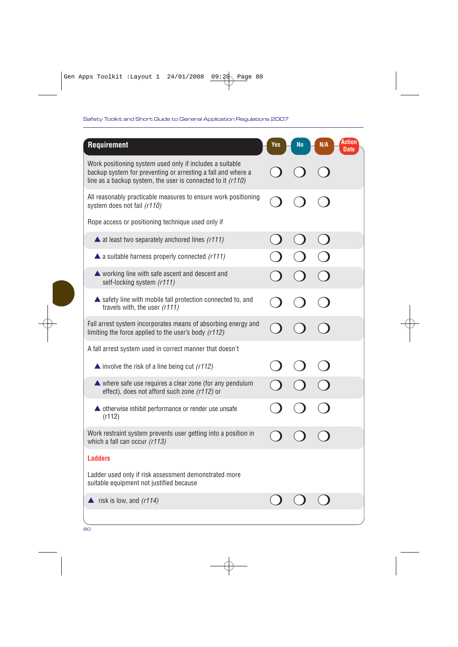| <b>Requirement</b>                                                                                                                                                                       | Yes | No | N/A | Action<br>Date |
|------------------------------------------------------------------------------------------------------------------------------------------------------------------------------------------|-----|----|-----|----------------|
| Work positioning system used only if includes a suitable<br>backup system for preventing or arresting a fall and where a<br>line as a backup system, the user is connected to it $(110)$ |     |    |     |                |
| All reasonably practicable measures to ensure work positioning<br>system does not fail (r110)                                                                                            |     |    |     |                |
| Rope access or positioning technique used only if                                                                                                                                        |     |    |     |                |
| $\triangle$ at least two separately anchored lines (r111)                                                                                                                                |     |    |     |                |
| $\triangle$ a suitable harness properly connected (r111)                                                                                                                                 |     |    |     |                |
| ▲ working line with safe ascent and descent and<br>self-locking system (r111)                                                                                                            |     |    |     |                |
| ▲ safety line with mobile fall protection connected to, and<br>travels with, the user (r111)                                                                                             |     |    |     |                |
| Fall arrest system incorporates means of absorbing energy and<br>limiting the force applied to the user's body $(r112)$                                                                  |     |    |     |                |
| A fall arrest system used in correct manner that doesn't                                                                                                                                 |     |    |     |                |
| A involve the risk of a line being cut $(r112)$                                                                                                                                          |     |    |     |                |
| $\triangle$ where safe use requires a clear zone (for any pendulum<br>effect), does not afford such zone (r112) or                                                                       |     |    |     |                |
| ▲ otherwise inhibit performance or render use unsafe<br>(r112)                                                                                                                           |     |    |     |                |
| Work restraint system prevents user getting into a position in<br>which a fall can occur (r113)                                                                                          |     |    |     |                |
| <b>Ladders</b>                                                                                                                                                                           |     |    |     |                |
| Ladder used only if risk assessment demonstrated more<br>suitable equipment not justified because                                                                                        |     |    |     |                |
| $\triangle$ risk is low, and (r114)                                                                                                                                                      |     |    |     |                |
|                                                                                                                                                                                          |     |    |     |                |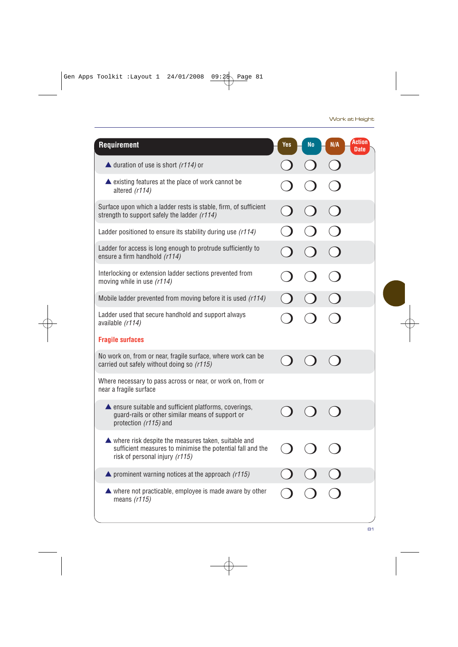| <b>Requirement</b>                                                                                                                                  | Yes | N <sub>0</sub> | <b>Action</b><br>N/A<br><b>Date</b> |  |
|-----------------------------------------------------------------------------------------------------------------------------------------------------|-----|----------------|-------------------------------------|--|
| $\triangle$ duration of use is short (r114) or                                                                                                      |     |                |                                     |  |
| ▲ existing features at the place of work cannot be<br>altered (r114)                                                                                |     |                |                                     |  |
| Surface upon which a ladder rests is stable, firm, of sufficient<br>strength to support safely the ladder (r114)                                    |     |                |                                     |  |
| Ladder positioned to ensure its stability during use (r114)                                                                                         |     |                |                                     |  |
| Ladder for access is long enough to protrude sufficiently to<br>ensure a firm handhold (r114)                                                       |     |                |                                     |  |
| Interlocking or extension ladder sections prevented from<br>moving while in use (r114)                                                              |     |                |                                     |  |
| Mobile ladder prevented from moving before it is used (r114)                                                                                        |     |                |                                     |  |
| Ladder used that secure handhold and support always<br>available (r114)                                                                             |     |                |                                     |  |
| <b>Fragile surfaces</b>                                                                                                                             |     |                |                                     |  |
| No work on, from or near, fragile surface, where work can be<br>carried out safely without doing so (r115)                                          |     |                |                                     |  |
| Where necessary to pass across or near, or work on, from or<br>near a fragile surface                                                               |     |                |                                     |  |
| ▲ ensure suitable and sufficient platforms, coverings,<br>guard-rails or other similar means of support or<br>protection (r115) and                 |     |                |                                     |  |
| where risk despite the measures taken, suitable and<br>sufficient measures to minimise the potential fall and the<br>risk of personal injury (r115) |     |                |                                     |  |
| $\triangle$ prominent warning notices at the approach (r115)                                                                                        |     |                |                                     |  |
| $\triangle$ where not practicable, employee is made aware by other<br>means $(115)$                                                                 |     |                |                                     |  |